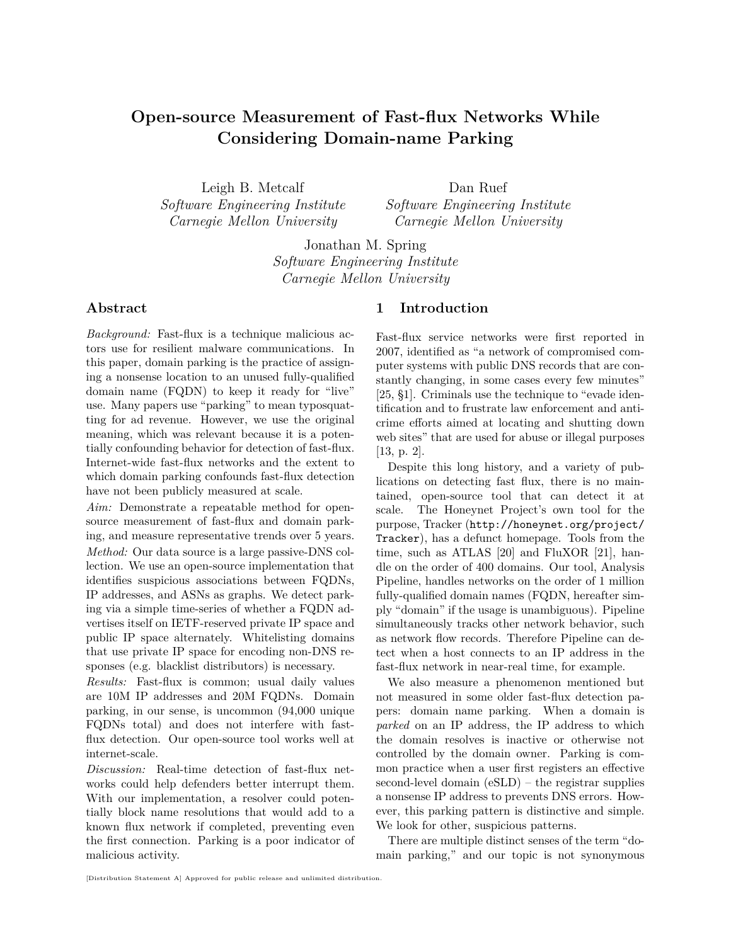# **Open-source Measurement of Fast-flux Networks While Considering Domain-name Parking**

Leigh B. Metcalf *Software Engineering Institute Carnegie Mellon University*

Dan Ruef *Software Engineering Institute Carnegie Mellon University*

Jonathan M. Spring *Software Engineering Institute Carnegie Mellon University*

## **Abstract**

*Background:* Fast-flux is a technique malicious actors use for resilient malware communications. In this paper, domain parking is the practice of assigning a nonsense location to an unused fully-qualified domain name (FQDN) to keep it ready for "live" use. Many papers use "parking" to mean typosquatting for ad revenue. However, we use the original meaning, which was relevant because it is a potentially confounding behavior for detection of fast-flux. Internet-wide fast-flux networks and the extent to which domain parking confounds fast-flux detection have not been publicly measured at scale.

*Aim:* Demonstrate a repeatable method for opensource measurement of fast-flux and domain parking, and measure representative trends over 5 years. *Method:* Our data source is a large passive-DNS collection. We use an open-source implementation that identifies suspicious associations between FQDNs, IP addresses, and ASNs as graphs. We detect parking via a simple time-series of whether a FQDN advertises itself on IETF-reserved private IP space and public IP space alternately. Whitelisting domains that use private IP space for encoding non-DNS responses (e.g. blacklist distributors) is necessary.

*Results:* Fast-flux is common; usual daily values are 10M IP addresses and 20M FQDNs. Domain parking, in our sense, is uncommon (94,000 unique FQDNs total) and does not interfere with fastflux detection. Our open-source tool works well at internet-scale.

*Discussion:* Real-time detection of fast-flux networks could help defenders better interrupt them. With our implementation, a resolver could potentially block name resolutions that would add to a known flux network if completed, preventing even the first connection. Parking is a poor indicator of malicious activity.

# **1 Introduction**

Fast-flux service networks were first reported in 2007, identified as "a network of compromised computer systems with public DNS records that are constantly changing, in some cases every few minutes" [\[25,](#page-11-0) §1]. Criminals use the technique to "evade identification and to frustrate law enforcement and anticrime efforts aimed at locating and shutting down web sites" that are used for abuse or illegal purposes [\[13,](#page-10-0) p. 2].

Despite this long history, and a variety of publications on detecting fast flux, there is no maintained, open-source tool that can detect it at scale. The Honeynet Project's own tool for the purpose, Tracker ([http://honeynet.org/project/](http://honeynet.org/project/Tracker) [Tracker](http://honeynet.org/project/Tracker)), has a defunct homepage. Tools from the time, such as ATLAS [\[20\]](#page-10-1) and FluXOR [\[21\]](#page-10-2), handle on the order of 400 domains. Our tool, Analysis Pipeline, handles networks on the order of 1 million fully-qualified domain names (FQDN, hereafter simply "domain" if the usage is unambiguous). Pipeline simultaneously tracks other network behavior, such as network flow records. Therefore Pipeline can detect when a host connects to an IP address in the fast-flux network in near-real time, for example.

We also measure a phenomenon mentioned but not measured in some older fast-flux detection papers: domain name parking. When a domain is *parked* on an IP address, the IP address to which the domain resolves is inactive or otherwise not controlled by the domain owner. Parking is common practice when a user first registers an effective second-level domain (eSLD) – the registrar supplies a nonsense IP address to prevents DNS errors. However, this parking pattern is distinctive and simple. We look for other, suspicious patterns.

There are multiple distinct senses of the term "domain parking," and our topic is not synonymous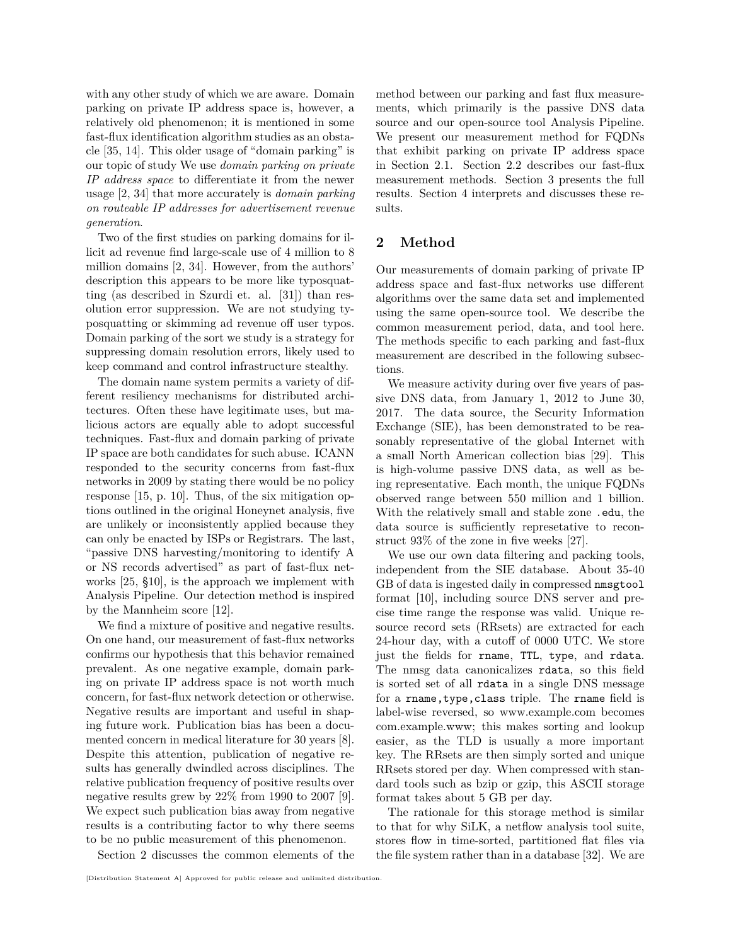with any other study of which we are aware. Domain parking on private IP address space is, however, a relatively old phenomenon; it is mentioned in some fast-flux identification algorithm studies as an obstacle [\[35,](#page-11-1) [14\]](#page-10-3). This older usage of "domain parking" is our topic of study We use *domain parking on private IP address space* to differentiate it from the newer usage [\[2,](#page-10-4) [34\]](#page-11-2) that more accurately is *domain parking on routeable IP addresses for advertisement revenue generation*.

Two of the first studies on parking domains for illicit ad revenue find large-scale use of 4 million to 8 million domains [\[2,](#page-10-4) [34\]](#page-11-2). However, from the authors' description this appears to be more like typosquatting (as described in Szurdi et. al. [\[31\]](#page-11-3)) than resolution error suppression. We are not studying typosquatting or skimming ad revenue off user typos. Domain parking of the sort we study is a strategy for suppressing domain resolution errors, likely used to keep command and control infrastructure stealthy.

The domain name system permits a variety of different resiliency mechanisms for distributed architectures. Often these have legitimate uses, but malicious actors are equally able to adopt successful techniques. Fast-flux and domain parking of private IP space are both candidates for such abuse. ICANN responded to the security concerns from fast-flux networks in 2009 by stating there would be no policy response [\[15,](#page-10-5) p. 10]. Thus, of the six mitigation options outlined in the original Honeynet analysis, five are unlikely or inconsistently applied because they can only be enacted by ISPs or Registrars. The last, "passive DNS harvesting/monitoring to identify A or NS records advertised" as part of fast-flux networks [\[25,](#page-11-0) §10], is the approach we implement with Analysis Pipeline. Our detection method is inspired by the Mannheim score [\[12\]](#page-10-6).

We find a mixture of positive and negative results. On one hand, our measurement of fast-flux networks confirms our hypothesis that this behavior remained prevalent. As one negative example, domain parking on private IP address space is not worth much concern, for fast-flux network detection or otherwise. Negative results are important and useful in shaping future work. Publication bias has been a documented concern in medical literature for 30 years [\[8\]](#page-10-7). Despite this attention, publication of negative results has generally dwindled across disciplines. The relative publication frequency of positive results over negative results grew by 22% from 1990 to 2007 [\[9\]](#page-10-8). We expect such publication bias away from negative results is a contributing factor to why there seems to be no public measurement of this phenomenon.

Section [2](#page-1-0) discusses the common elements of the

method between our parking and fast flux measurements, which primarily is the passive DNS data source and our open-source tool Analysis Pipeline. We present our measurement method for FQDNs that exhibit parking on private IP address space in Section [2.1.](#page-3-0) Section [2.2](#page-3-1) describes our fast-flux measurement methods. Section [3](#page-6-0) presents the full results. Section [4](#page-7-0) interprets and discusses these results.

# <span id="page-1-0"></span>**2 Method**

Our measurements of domain parking of private IP address space and fast-flux networks use different algorithms over the same data set and implemented using the same open-source tool. We describe the common measurement period, data, and tool here. The methods specific to each parking and fast-flux measurement are described in the following subsections.

We measure activity during over five years of passive DNS data, from January 1, 2012 to June 30, 2017. The data source, the Security Information Exchange (SIE), has been demonstrated to be reasonably representative of the global Internet with a small North American collection bias [\[29\]](#page-11-4). This is high-volume passive DNS data, as well as being representative. Each month, the unique FQDNs observed range between 550 million and 1 billion. With the relatively small and stable zone .edu, the data source is sufficiently represetative to reconstruct 93% of the zone in five weeks [\[27\]](#page-11-5).

We use our own data filtering and packing tools, independent from the SIE database. About 35-40 GB of data is ingested daily in compressed nmsgtool format [\[10\]](#page-10-9), including source DNS server and precise time range the response was valid. Unique resource record sets (RRsets) are extracted for each 24-hour day, with a cutoff of 0000 UTC. We store just the fields for rname, TTL, type, and rdata. The nmsg data canonicalizes rdata, so this field is sorted set of all rdata in a single DNS message for a rname,type,class triple. The rname field is label-wise reversed, so www.example.com becomes com.example.www; this makes sorting and lookup easier, as the TLD is usually a more important key. The RRsets are then simply sorted and unique RRsets stored per day. When compressed with standard tools such as bzip or gzip, this ASCII storage format takes about 5 GB per day.

The rationale for this storage method is similar to that for why SiLK, a netflow analysis tool suite, stores flow in time-sorted, partitioned flat files via the file system rather than in a database [\[32\]](#page-11-6). We are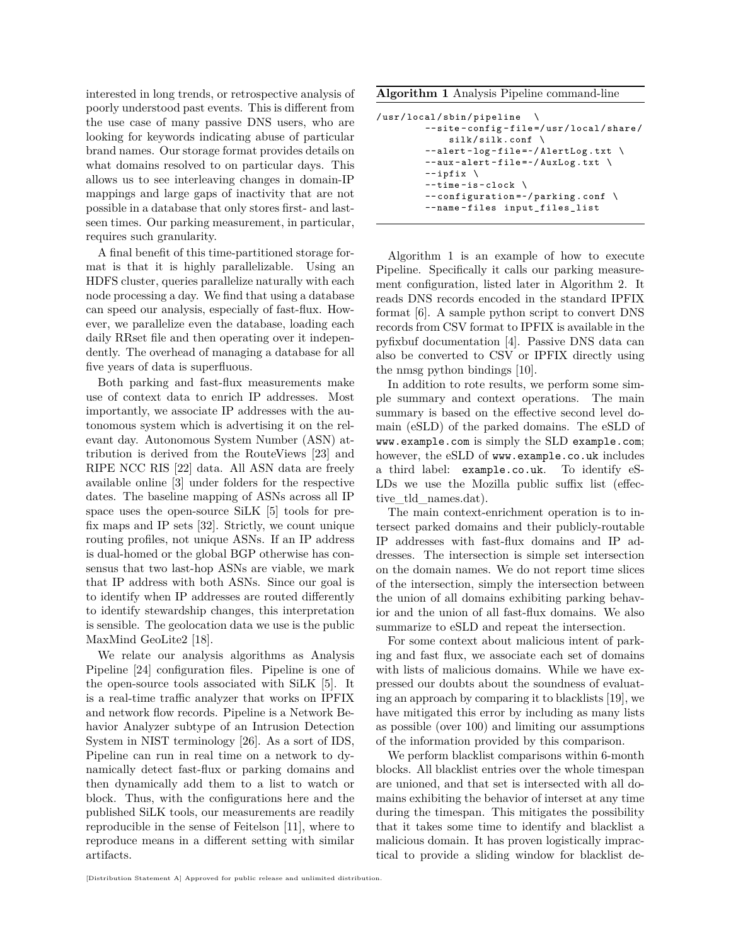interested in long trends, or retrospective analysis of poorly understood past events. This is different from the use case of many passive DNS users, who are looking for keywords indicating abuse of particular brand names. Our storage format provides details on what domains resolved to on particular days. This allows us to see interleaving changes in domain-IP mappings and large gaps of inactivity that are not possible in a database that only stores first- and lastseen times. Our parking measurement, in particular, requires such granularity.

A final benefit of this time-partitioned storage format is that it is highly parallelizable. Using an HDFS cluster, queries parallelize naturally with each node processing a day. We find that using a database can speed our analysis, especially of fast-flux. However, we parallelize even the database, loading each daily RRset file and then operating over it independently. The overhead of managing a database for all five years of data is superfluous.

Both parking and fast-flux measurements make use of context data to enrich IP addresses. Most importantly, we associate IP addresses with the autonomous system which is advertising it on the relevant day. Autonomous System Number (ASN) attribution is derived from the RouteViews [\[23\]](#page-11-7) and RIPE NCC RIS [\[22\]](#page-11-8) data. All ASN data are freely available online [\[3\]](#page-10-10) under folders for the respective dates. The baseline mapping of ASNs across all IP space uses the open-source SiLK [\[5\]](#page-10-11) tools for prefix maps and IP sets [\[32\]](#page-11-6). Strictly, we count unique routing profiles, not unique ASNs. If an IP address is dual-homed or the global BGP otherwise has consensus that two last-hop ASNs are viable, we mark that IP address with both ASNs. Since our goal is to identify when IP addresses are routed differently to identify stewardship changes, this interpretation is sensible. The geolocation data we use is the public MaxMind GeoLite2 [\[18\]](#page-10-12).

We relate our analysis algorithms as Analysis Pipeline [\[24\]](#page-11-9) configuration files. Pipeline is one of the open-source tools associated with SiLK [\[5\]](#page-10-11). It is a real-time traffic analyzer that works on IPFIX and network flow records. Pipeline is a Network Behavior Analyzer subtype of an Intrusion Detection System in NIST terminology [\[26\]](#page-11-10). As a sort of IDS, Pipeline can run in real time on a network to dynamically detect fast-flux or parking domains and then dynamically add them to a list to watch or block. Thus, with the configurations here and the published SiLK tools, our measurements are readily reproducible in the sense of Feitelson [\[11\]](#page-10-13), where to reproduce means in a different setting with similar artifacts.

<span id="page-2-0"></span>**Algorithm 1** Analysis Pipeline command-line

```
/usr/local/sbin/pipeline \
         -- site - config - file =/ usr / local / share /
             silk/silk.comf \ \n\--alert-log-file=~/AlertLog.txt \
         --aux-alert-file = ~/AuxLog.txt-- ipfix \setminus--time-is-clock \setminus--configuration=\sim/parking.conf \
         -- name - files input_files_list
```
Algorithm [1](#page-2-0) is an example of how to execute Pipeline. Specifically it calls our parking measurement configuration, listed later in Algorithm [2.](#page-4-0) It reads DNS records encoded in the standard IPFIX format [\[6\]](#page-10-14). A sample python script to convert DNS records from CSV format to IPFIX is available in the pyfixbuf documentation [\[4\]](#page-10-15). Passive DNS data can also be converted to CSV or IPFIX directly using the nmsg python bindings [\[10\]](#page-10-9).

In addition to rote results, we perform some simple summary and context operations. The main summary is based on the effective second level domain (eSLD) of the parked domains. The eSLD of <www.example.com> is simply the SLD example.com; however, the eSLD of <www.example.co.uk> includes a third label: example.co.uk. To identify eS-LDs we use the Mozilla public suffix list (effective\_tld\_names.dat).

The main context-enrichment operation is to intersect parked domains and their publicly-routable IP addresses with fast-flux domains and IP addresses. The intersection is simple set intersection on the domain names. We do not report time slices of the intersection, simply the intersection between the union of all domains exhibiting parking behavior and the union of all fast-flux domains. We also summarize to eSLD and repeat the intersection.

For some context about malicious intent of parking and fast flux, we associate each set of domains with lists of malicious domains. While we have expressed our doubts about the soundness of evaluating an approach by comparing it to blacklists [\[19\]](#page-10-16), we have mitigated this error by including as many lists as possible (over 100) and limiting our assumptions of the information provided by this comparison.

We perform blacklist comparisons within 6-month blocks. All blacklist entries over the whole timespan are unioned, and that set is intersected with all domains exhibiting the behavior of interset at any time during the timespan. This mitigates the possibility that it takes some time to identify and blacklist a malicious domain. It has proven logistically impractical to provide a sliding window for blacklist de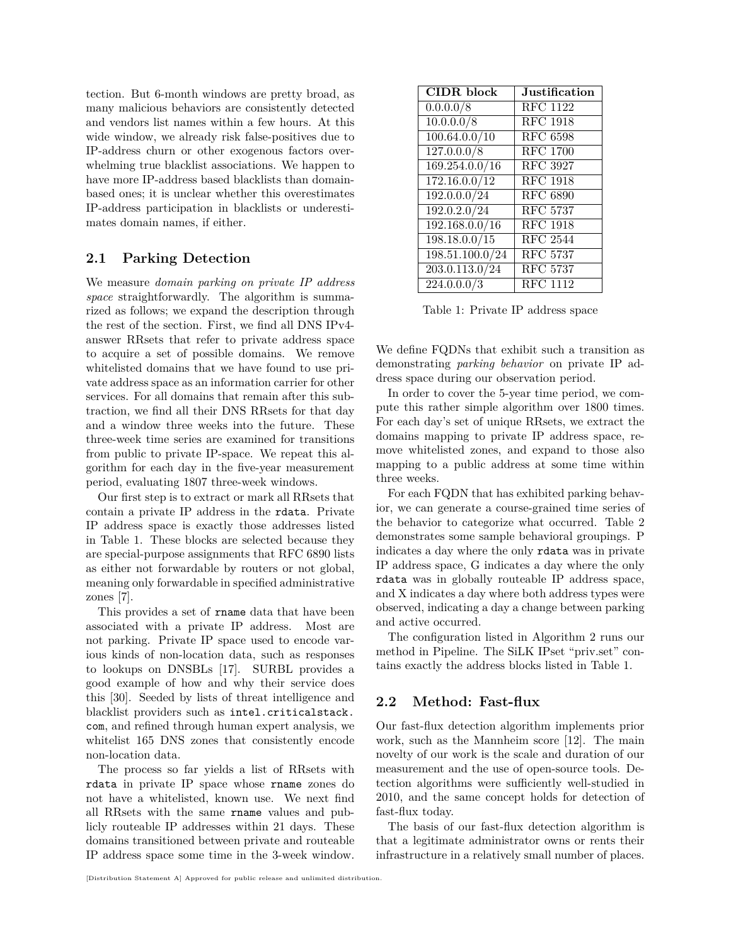tection. But 6-month windows are pretty broad, as many malicious behaviors are consistently detected and vendors list names within a few hours. At this wide window, we already risk false-positives due to IP-address churn or other exogenous factors overwhelming true blacklist associations. We happen to have more IP-address based blacklists than domainbased ones; it is unclear whether this overestimates IP-address participation in blacklists or underestimates domain names, if either.

## <span id="page-3-0"></span>**2.1 Parking Detection**

We measure *domain parking on private IP address space* straightforwardly. The algorithm is summarized as follows; we expand the description through the rest of the section. First, we find all DNS IPv4 answer RRsets that refer to private address space to acquire a set of possible domains. We remove whitelisted domains that we have found to use private address space as an information carrier for other services. For all domains that remain after this subtraction, we find all their DNS RRsets for that day and a window three weeks into the future. These three-week time series are examined for transitions from public to private IP-space. We repeat this algorithm for each day in the five-year measurement period, evaluating 1807 three-week windows.

Our first step is to extract or mark all RRsets that contain a private IP address in the rdata. Private IP address space is exactly those addresses listed in Table [1.](#page-3-2) These blocks are selected because they are special-purpose assignments that RFC 6890 lists as either not forwardable by routers or not global, meaning only forwardable in specified administrative zones [\[7\]](#page-10-17).

This provides a set of rname data that have been associated with a private IP address. Most are not parking. Private IP space used to encode various kinds of non-location data, such as responses to lookups on DNSBLs [\[17\]](#page-10-18). SURBL provides a good example of how and why their service does this [\[30\]](#page-11-11). Seeded by lists of threat intelligence and blacklist providers such as [intel.criticalstack.](intel.criticalstack.com) [com](intel.criticalstack.com), and refined through human expert analysis, we whitelist 165 DNS zones that consistently encode non-location data.

The process so far yields a list of RRsets with rdata in private IP space whose rname zones do not have a whitelisted, known use. We next find all RRsets with the same rname values and publicly routeable IP addresses within 21 days. These domains transitioned between private and routeable IP address space some time in the 3-week window.

| <b>CIDR</b> block             | <b>Justification</b>         |
|-------------------------------|------------------------------|
| 0.0.0.0/8                     | <b>RFC</b> 1122              |
| $\overline{10.0.0.0/8}$       | <b>RFC 1918</b>              |
| 100.64.0.0/10                 | $\overline{\rm RFC}$ 6598    |
| 127.0.0.0/8                   | <b>RFC 1700</b>              |
| $\overline{169.254.0.0} / 16$ | <b>RFC 3927</b>              |
| $\overline{172.16.0.0}/12$    | <b>RFC 1918</b>              |
| 192.0.0.0/24                  | <b>RFC 6890</b>              |
| 192.0.2.0/24                  | <b>RFC 5737</b>              |
| $\overline{192.168.0.0}/16$   | <b>RFC 1918</b>              |
| 198.18.0.0/15                 | $\overline{\text{RFC}}$ 2544 |
| 198.51.100.0/24               | <b>RFC 5737</b>              |
| $\overline{203.0.113.0}/24$   | <b>RFC 5737</b>              |
| 224.0.0.0/3                   | <b>RFC</b> 1112              |

<span id="page-3-2"></span>Table 1: Private IP address space

We define FQDNs that exhibit such a transition as demonstrating *parking behavior* on private IP address space during our observation period.

In order to cover the 5-year time period, we compute this rather simple algorithm over 1800 times. For each day's set of unique RRsets, we extract the domains mapping to private IP address space, remove whitelisted zones, and expand to those also mapping to a public address at some time within three weeks.

For each FQDN that has exhibited parking behavior, we can generate a course-grained time series of the behavior to categorize what occurred. Table [2](#page-4-1) demonstrates some sample behavioral groupings. P indicates a day where the only rdata was in private IP address space, G indicates a day where the only rdata was in globally routeable IP address space, and X indicates a day where both address types were observed, indicating a day a change between parking and active occurred.

The configuration listed in Algorithm [2](#page-4-0) runs our method in Pipeline. The SiLK IPset "priv.set" contains exactly the address blocks listed in Table [1.](#page-3-2)

## <span id="page-3-1"></span>**2.2 Method: Fast-flux**

Our fast-flux detection algorithm implements prior work, such as the Mannheim score [\[12\]](#page-10-6). The main novelty of our work is the scale and duration of our measurement and the use of open-source tools. Detection algorithms were sufficiently well-studied in 2010, and the same concept holds for detection of fast-flux today.

The basis of our fast-flux detection algorithm is that a legitimate administrator owns or rents their infrastructure in a relatively small number of places.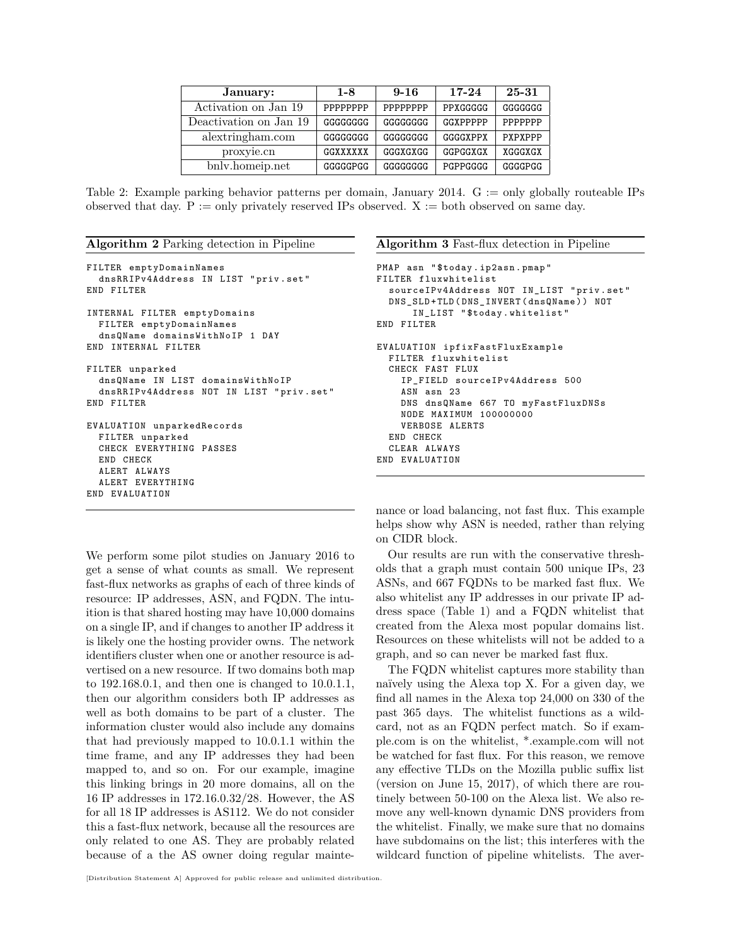| January:               | $1 - 8$  | $9 - 16$ | $17 - 24$ | 25-31   |
|------------------------|----------|----------|-----------|---------|
| Activation on Jan 19   | PPPPPPPP | PPPPPPPP | PPXGGGGG  | GGGGGGG |
| Deactivation on Jan 19 | GGGGGGGG | GGGGGGGG | GGXPPPPP  | PPPPPPP |
| alextringham.com       | GGGGGGGG | GGGGGGGG | GGGGXPPX  | PXPXPPP |
| proxyie.cn             | GGXXXXXX | GGGXGXGG | GGPGGXGX  | XGGGXGX |
| bnly.homeip.net        | GGGGGPGG | GGGGGGGG | PGPPGGGG  | GGGGPGG |

<span id="page-4-1"></span>Table 2: Example parking behavior patterns per domain, January 2014. G := only globally routeable IPs observed that day. P := only privately reserved IPs observed.  $X :=$  both observed on same day.

<span id="page-4-0"></span>**Algorithm 2** Parking detection in Pipeline

```
FILTER emptyDomainNames
  dnsRRIPv4Address IN LIST " priv . set "
END FILTER
INTERNAL FILTER emptyDomains
  FILTER emptyDomainNames
  dnsQName domainsWithNoIP 1 DAY
END INTERNAL FILTER
FILTER unparked
  dnsQName IN LIST domainsWithNoIP
  dnsRRIPv4Address NOT IN LIST " priv . set "
END FILTER
EVALUATION unparkedRecords
  FILTER unparked
  CHECK EVERYTHING PASSES
  END CHECK
  ALERT ALWAYS
  ALERT EVERYTHING
END EVALUATION
```
We perform some pilot studies on January 2016 to get a sense of what counts as small. We represent fast-flux networks as graphs of each of three kinds of resource: IP addresses, ASN, and FQDN. The intuition is that shared hosting may have 10,000 domains on a single IP, and if changes to another IP address it is likely one the hosting provider owns. The network identifiers cluster when one or another resource is advertised on a new resource. If two domains both map to 192.168.0.1, and then one is changed to 10.0.1.1, then our algorithm considers both IP addresses as well as both domains to be part of a cluster. The information cluster would also include any domains that had previously mapped to 10.0.1.1 within the time frame, and any IP addresses they had been mapped to, and so on. For our example, imagine this linking brings in 20 more domains, all on the 16 IP addresses in 172.16.0.32/28. However, the AS for all 18 IP addresses is AS112. We do not consider this a fast-flux network, because all the resources are only related to one AS. They are probably related because of a the AS owner doing regular mainte<span id="page-4-2"></span>**Algorithm 3** Fast-flux detection in Pipeline

```
PMAP asn " $today . ip2asn . pmap "
FILTER fluxwhitelist
  sourceIPv4Address NOT IN_LIST " priv . set "
  DNS_SLD + TLD ( DNS_INVERT ( dnsQName )) NOT
      IN_LIST " $today . whitelist "
END FILTER
EVALUATION ipfixFastFluxExample
  FILTER fluxwhitelist
  CHECK FAST FLUX
    IP_FIELD sourceIPv4Address 500
    ASN asn 23
    DNS dnsQName 667 TO myFastFluxDNSs
    NODE MAXIMUM 100000000
    VERBOSE ALERTS
  END CHECK
  CLEAR ALWAYS
END EVALUATION
```
nance or load balancing, not fast flux. This example helps show why ASN is needed, rather than relying on CIDR block.

Our results are run with the conservative thresholds that a graph must contain 500 unique IPs, 23 ASNs, and 667 FQDNs to be marked fast flux. We also whitelist any IP addresses in our private IP address space (Table [1\)](#page-3-2) and a FQDN whitelist that created from the Alexa most popular domains list. Resources on these whitelists will not be added to a graph, and so can never be marked fast flux.

The FQDN whitelist captures more stability than naïvely using the Alexa top X. For a given day, we find all names in the Alexa top 24,000 on 330 of the past 365 days. The whitelist functions as a wildcard, not as an FQDN perfect match. So if example.com is on the whitelist, \*.example.com will not be watched for fast flux. For this reason, we remove any effective TLDs on the Mozilla public suffix list (version on June 15, 2017), of which there are routinely between 50-100 on the Alexa list. We also remove any well-known dynamic DNS providers from the whitelist. Finally, we make sure that no domains have subdomains on the list; this interferes with the wildcard function of pipeline whitelists. The aver-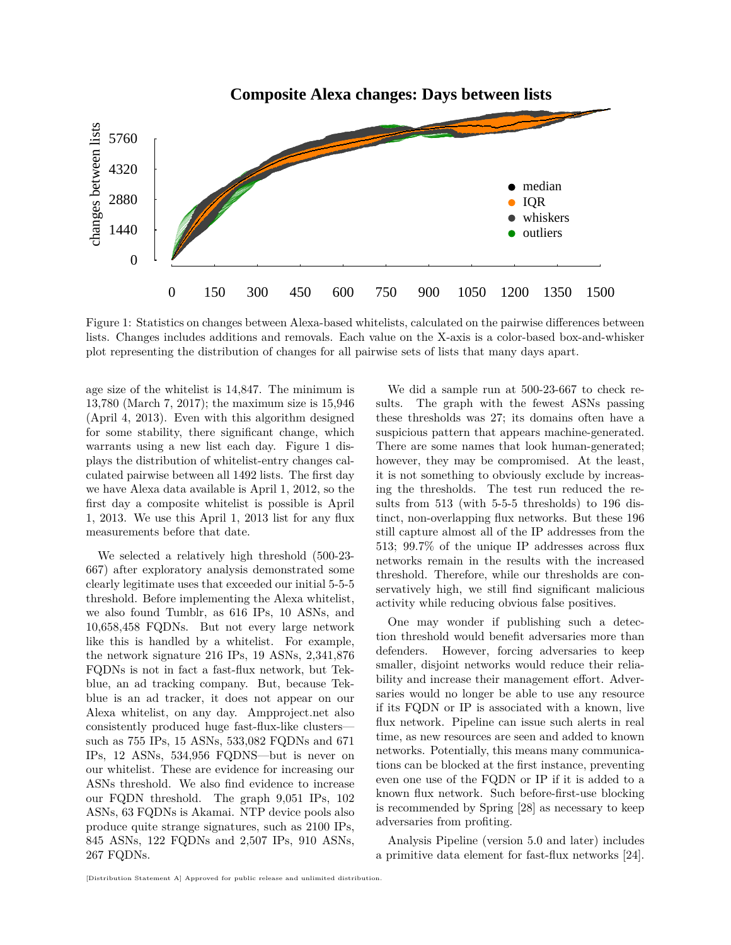

<span id="page-5-0"></span>Figure 1: Statistics on changes between Alexa-based whitelists, calculated on the pairwise differences between lists. Changes includes additions and removals. Each value on the X-axis is a color-based box-and-whisker plot representing the distribution of changes for all pairwise sets of lists that many days apart.

age size of the whitelist is 14,847. The minimum is 13,780 (March 7, 2017); the maximum size is  $15,946$  $(Apri 4, 2013)$ . Even with this algorithm designed for some stability, there significant change, which warrants using a new list each day. Figure 1 displays the distribution of whitelist-entry changes calculated pairwise between all 1492 lists. The first day we have Alexa data available is April 1, 2012, so the first day a composite whitelist is possible is April 1, 2013. We use this April 1, 2013 list for any flux measurements before that date.

We selected a relatively high threshold (500-23-667) after exploratory analysis demonstrated some clearly legitimate uses that exceeded our initial 5-5-5 threshold. Before implementing the Alexa whitelist, we also found Tumblr, as 616 IPs, 10 ASNs, and 10,658,458 FQDNs. But not every large network like this is handled by a whitelist. For example, the network signature 216 IPs, 19 ASNs, 2,341,876 FQDNs is not in fact a fast-flux network, but Tekblue, an ad tracking company. But, because Tekblue is an ad tracker, it does not appear on our Alexa whitelist, on any day. Ampproject.net also consistently produced huge fast-flux-like clusterssuch as 755 IPs, 15 ASNs, 533,082 FQDNs and 671 IPs, 12 ASNs,  $534,956$  FQDNS—but is never on our whitelist. These are evidence for increasing our ASNs threshold. We also find evidence to increase our FQDN threshold. The graph 9,051 IPs, 102 ASNs, 63 FQDNs is Akamai. NTP device pools also produce quite strange signatures, such as 2100 IPs, 845 ASNs, 122 FQDNs and 2,507 IPs, 910 ASNs, 267 FQDNs.

We did a sample run at 500-23-667 to check re-The graph with the fewest ASNs passing sults. these thresholds was 27; its domains often have a suspicious pattern that appears machine-generated. There are some names that look human-generated; however, they may be compromised. At the least, it is not something to obviously exclude by increasing the thresholds. The test run reduced the results from 513 (with 5-5-5 thresholds) to 196 distinct, non-overlapping flux networks. But these 196 still capture almost all of the IP addresses from the 513; 99.7% of the unique IP addresses across flux networks remain in the results with the increased threshold. Therefore, while our thresholds are conservatively high, we still find significant malicious activity while reducing obvious false positives.

One may wonder if publishing such a detection threshold would benefit adversaries more than defenders. However, forcing adversaries to keep smaller, disjoint networks would reduce their reliability and increase their management effort. Adversaries would no longer be able to use any resource if its FQDN or IP is associated with a known, live flux network. Pipeline can issue such alerts in real time, as new resources are seen and added to known networks. Potentially, this means many communications can be blocked at the first instance, preventing even one use of the FQDN or IP if it is added to a known flux network. Such before-first-use blocking is recommended by Spring [28] as necessary to keep adversaries from profiting.

Analysis Pipeline (version 5.0 and later) includes a primitive data element for fast-flux networks [24].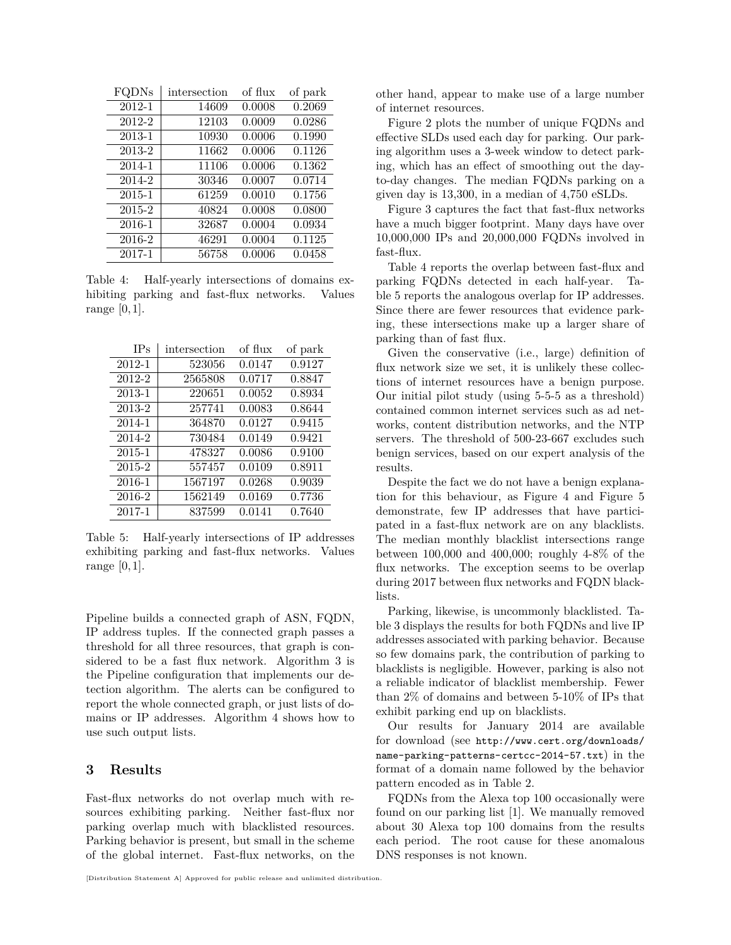| FQDNs  | intersection | of flux | of park |
|--------|--------------|---------|---------|
| 2012-1 | 14609        | 0.0008  | 0.2069  |
| 2012-2 | 12103        | 0.0009  | 0.0286  |
| 2013-1 | 10930        | 0.0006  | 0.1990  |
| 2013-2 | 11662        | 0.0006  | 0.1126  |
| 2014-1 | 11106        | 0.0006  | 0.1362  |
| 2014-2 | 30346        | 0.0007  | 0.0714  |
| 2015-1 | 61259        | 0.0010  | 0.1756  |
| 2015-2 | 40824        | 0.0008  | 0.0800  |
| 2016-1 | 32687        | 0.0004  | 0.0934  |
| 2016-2 | 46291        | 0.0004  | 0.1125  |
| 2017-1 | 56758        | 0.0006  | 0.0458  |

<span id="page-6-1"></span>Table 4: Half-yearly intersections of domains exhibiting parking and fast-flux networks. Values range [0*,*1].

| <b>IPs</b> | intersection | of flux | of park |
|------------|--------------|---------|---------|
| 2012-1     | 523056       | 0.0147  | 0.9127  |
| 2012-2     | 2565808      | 0.0717  | 0.8847  |
| 2013-1     | 220651       | 0.0052  | 0.8934  |
| 2013-2     | 257741       | 0.0083  | 0.8644  |
| 2014-1     | 364870       | 0.0127  | 0.9415  |
| 2014-2     | 730484       | 0.0149  | 0.9421  |
| 2015-1     | 478327       | 0.0086  | 0.9100  |
| 2015-2     | 557457       | 0.0109  | 0.8911  |
| 2016-1     | 1567197      | 0.0268  | 0.9039  |
| 2016-2     | 1562149      | 0.0169  | 0.7736  |
| 2017-1     | 837599       | 0.0141  | 0.7640  |

<span id="page-6-2"></span>Table 5: Half-yearly intersections of IP addresses exhibiting parking and fast-flux networks. Values range [0*,*1].

Pipeline builds a connected graph of ASN, FQDN, IP address tuples. If the connected graph passes a threshold for all three resources, that graph is considered to be a fast flux network. Algorithm [3](#page-4-2) is the Pipeline configuration that implements our detection algorithm. The alerts can be configured to report the whole connected graph, or just lists of domains or IP addresses. Algorithm [4](#page-9-0) shows how to use such output lists.

### <span id="page-6-0"></span>**3 Results**

Fast-flux networks do not overlap much with resources exhibiting parking. Neither fast-flux nor parking overlap much with blacklisted resources. Parking behavior is present, but small in the scheme of the global internet. Fast-flux networks, on the other hand, appear to make use of a large number of internet resources.

Figure [2](#page-7-1) plots the number of unique FQDNs and effective SLDs used each day for parking. Our parking algorithm uses a 3-week window to detect parking, which has an effect of smoothing out the dayto-day changes. The median FQDNs parking on a given day is 13,300, in a median of 4,750 eSLDs.

Figure [3](#page-8-0) captures the fact that fast-flux networks have a much bigger footprint. Many days have over 10,000,000 IPs and 20,000,000 FQDNs involved in fast-flux.

Table [4](#page-6-1) reports the overlap between fast-flux and parking FQDNs detected in each half-year. Table [5](#page-6-2) reports the analogous overlap for IP addresses. Since there are fewer resources that evidence parking, these intersections make up a larger share of parking than of fast flux.

Given the conservative (i.e., large) definition of flux network size we set, it is unlikely these collections of internet resources have a benign purpose. Our initial pilot study (using 5-5-5 as a threshold) contained common internet services such as ad networks, content distribution networks, and the NTP servers. The threshold of 500-23-667 excludes such benign services, based on our expert analysis of the results.

Despite the fact we do not have a benign explanation for this behaviour, as Figure [4](#page-8-1) and Figure [5](#page-9-1) demonstrate, few IP addresses that have participated in a fast-flux network are on any blacklists. The median monthly blacklist intersections range between 100,000 and 400,000; roughly 4-8% of the flux networks. The exception seems to be overlap during 2017 between flux networks and FQDN blacklists.

Parking, likewise, is uncommonly blacklisted. Table [3](#page-7-2) displays the results for both FQDNs and live IP addresses associated with parking behavior. Because so few domains park, the contribution of parking to blacklists is negligible. However, parking is also not a reliable indicator of blacklist membership. Fewer than 2% of domains and between 5-10% of IPs that exhibit parking end up on blacklists.

Our results for January 2014 are available for download (see [http://www.cert.org/downloads/](http://www.cert.org/downloads/name-parking-patterns-certcc-2014-57.txt) [name-parking-patterns-certcc-2014-57.txt](http://www.cert.org/downloads/name-parking-patterns-certcc-2014-57.txt)) in the format of a domain name followed by the behavior pattern encoded as in Table [2.](#page-4-1)

FQDNs from the Alexa top 100 occasionally were found on our parking list [\[1\]](#page-10-19). We manually removed about 30 Alexa top 100 domains from the results each period. The root cause for these anomalous DNS responses is not known.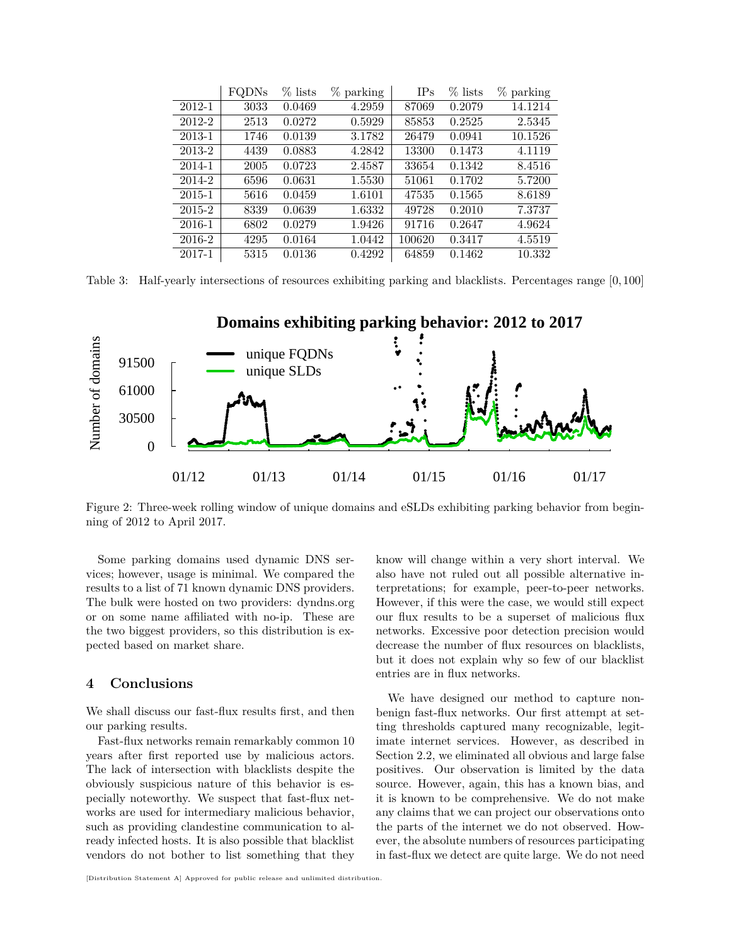|        | FQDNs | $%$ lists | % parking | IPs    | $%$ lists | $%$ parking |
|--------|-------|-----------|-----------|--------|-----------|-------------|
| 2012-1 | 3033  | 0.0469    | 4.2959    | 87069  | 0.2079    | 14.1214     |
| 2012-2 | 2513  | 0.0272    | 0.5929    | 85853  | 0.2525    | 2.5345      |
| 2013-1 | 1746  | 0.0139    | 3.1782    | 26479  | 0.0941    | 10.1526     |
| 2013-2 | 4439  | 0.0883    | 4.2842    | 13300  | 0.1473    | 4.1119      |
| 2014-1 | 2005  | 0.0723    | 2.4587    | 33654  | 0.1342    | 8.4516      |
| 2014-2 | 6596  | 0.0631    | 1.5530    | 51061  | 0.1702    | 5.7200      |
| 2015-1 | 5616  | 0.0459    | 1.6101    | 47535  | 0.1565    | 8.6189      |
| 2015-2 | 8339  | 0.0639    | 1.6332    | 49728  | 0.2010    | 7.3737      |
| 2016-1 | 6802  | 0.0279    | 1.9426    | 91716  | 0.2647    | 4.9624      |
| 2016-2 | 4295  | 0.0164    | 1.0442    | 100620 | 0.3417    | 4.5519      |
| 2017-1 | 5315  | 0.0136    | 0.4292    | 64859  | 0.1462    | 10.332      |

<span id="page-7-2"></span>Table 3: Half-yearly intersections of resources exhibiting parking and blacklists. Percentages range [0*,*100]



<span id="page-7-1"></span>Figure 2: Three-week rolling window of unique domains and eSLDs exhibiting parking behavior from beginning of 2012 to April 2017.

Some parking domains used dynamic DNS services; however, usage is minimal. We compared the results to a list of 71 known dynamic DNS providers. The bulk were hosted on two providers: dyndns.org or on some name affiliated with no-ip. These are the two biggest providers, so this distribution is expected based on market share.

#### <span id="page-7-0"></span>**4 Conclusions**

We shall discuss our fast-flux results first, and then our parking results.

Fast-flux networks remain remarkably common 10 years after first reported use by malicious actors. The lack of intersection with blacklists despite the obviously suspicious nature of this behavior is especially noteworthy. We suspect that fast-flux networks are used for intermediary malicious behavior, such as providing clandestine communication to already infected hosts. It is also possible that blacklist vendors do not bother to list something that they

know will change within a very short interval. We also have not ruled out all possible alternative interpretations; for example, peer-to-peer networks. However, if this were the case, we would still expect our flux results to be a superset of malicious flux networks. Excessive poor detection precision would decrease the number of flux resources on blacklists, but it does not explain why so few of our blacklist entries are in flux networks.

We have designed our method to capture nonbenign fast-flux networks. Our first attempt at setting thresholds captured many recognizable, legitimate internet services. However, as described in Section [2.2,](#page-3-1) we eliminated all obvious and large false positives. Our observation is limited by the data source. However, again, this has a known bias, and it is known to be comprehensive. We do not make any claims that we can project our observations onto the parts of the internet we do not observed. However, the absolute numbers of resources participating in fast-flux we detect are quite large. We do not need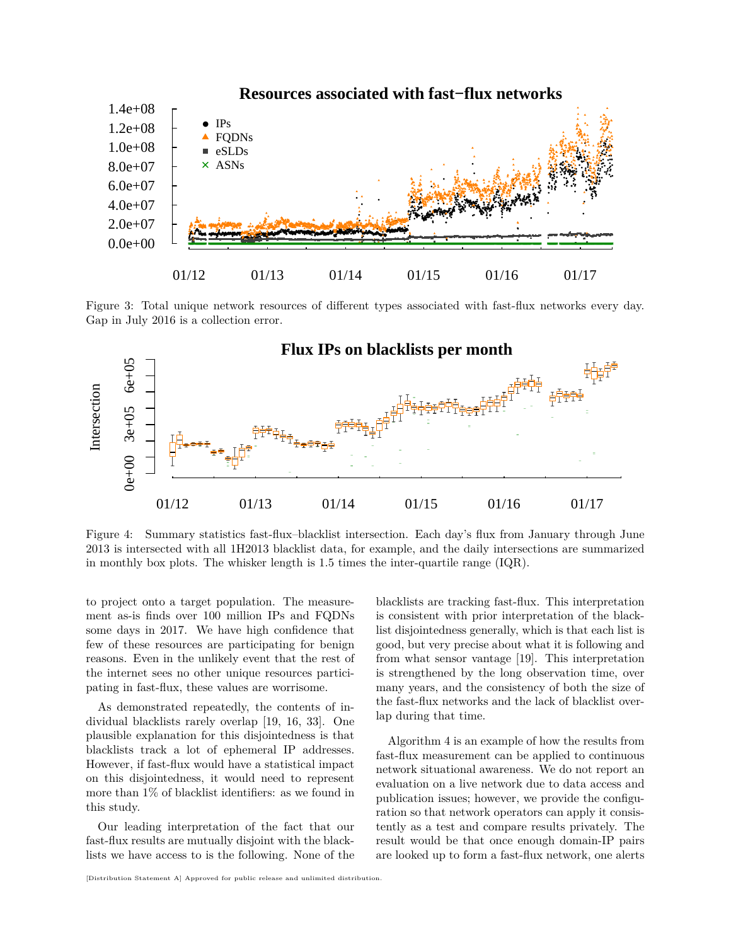

<span id="page-8-0"></span>Figure 3: Total unique network resources of different types associated with fast-flux networks every day. Gap in July 2016 is a collection error.



<span id="page-8-1"></span>Figure 4: Summary statistics fast-flux–blacklist intersection. Each day's flux from January through June 2013 is intersected with all 1H2013 blacklist data, for example, and the daily intersections are summarized in monthly box plots. The whisker length is 1.5 times the inter-quartile range (IQR).

to project onto a target population. The measurement as-is finds over 100 million IPs and FQDNs some days in 2017. We have high confidence that few of these resources are participating for benign reasons. Even in the unlikely event that the rest of the internet sees no other unique resources participating in fast-flux, these values are worrisome.

As demonstrated repeatedly, the contents of individual blacklists rarely overlap [\[19,](#page-10-16) [16,](#page-10-20) [33\]](#page-11-13). One plausible explanation for this disjointedness is that blacklists track a lot of ephemeral IP addresses. However, if fast-flux would have a statistical impact on this disjointedness, it would need to represent more than 1% of blacklist identifiers: as we found in this study.

Our leading interpretation of the fact that our fast-flux results are mutually disjoint with the blacklists we have access to is the following. None of the blacklists are tracking fast-flux. This interpretation is consistent with prior interpretation of the blacklist disjointedness generally, which is that each list is good, but very precise about what it is following and from what sensor vantage [\[19\]](#page-10-16). This interpretation is strengthened by the long observation time, over many years, and the consistency of both the size of the fast-flux networks and the lack of blacklist overlap during that time.

Algorithm [4](#page-9-0) is an example of how the results from fast-flux measurement can be applied to continuous network situational awareness. We do not report an evaluation on a live network due to data access and publication issues; however, we provide the configuration so that network operators can apply it consistently as a test and compare results privately. The result would be that once enough domain-IP pairs are looked up to form a fast-flux network, one alerts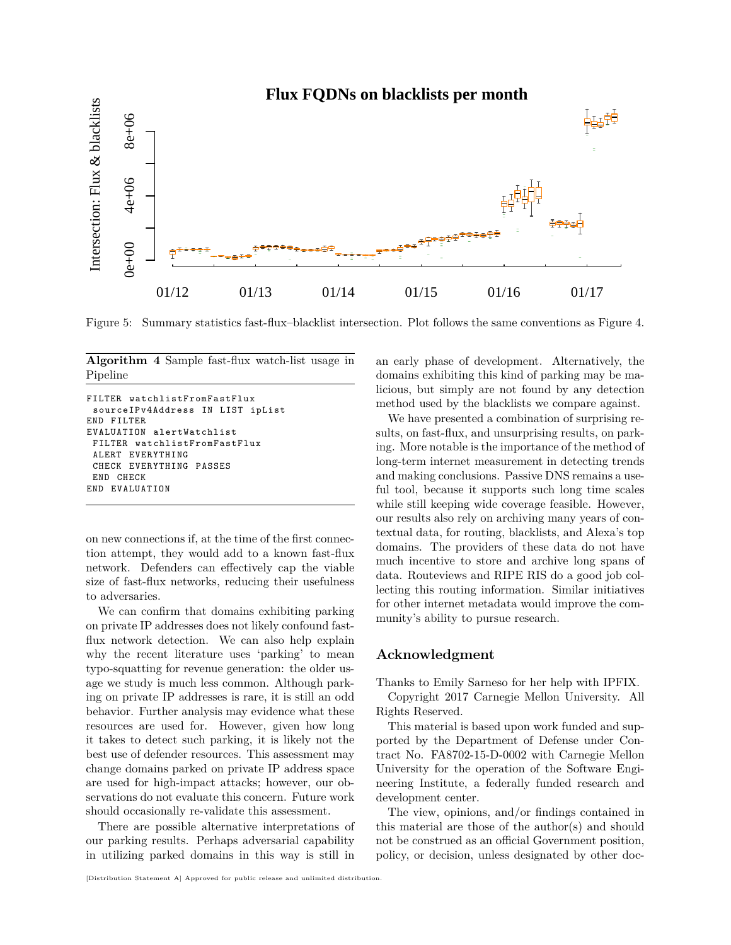

<span id="page-9-1"></span>Figure 5: Summary statistics fast-flux–blacklist intersection. Plot follows the same conventions as Figure [4.](#page-8-1)

<span id="page-9-0"></span>**Algorithm 4** Sample fast-flux watch-list usage in Pipeline

```
FILTER watchlistFromFastFlux
 sourceIPv4Address IN LIST ipList
END FILTER
EVALUATION alertWatchlist
 FILTER watchlistFromFastFlux
 ALERT EVERYTHING
 CHECK EVERYTHING PASSES
 END CHECK
END EVALUATION
```
on new connections if, at the time of the first connection attempt, they would add to a known fast-flux network. Defenders can effectively cap the viable size of fast-flux networks, reducing their usefulness to adversaries.

We can confirm that domains exhibiting parking on private IP addresses does not likely confound fastflux network detection. We can also help explain why the recent literature uses 'parking' to mean typo-squatting for revenue generation: the older usage we study is much less common. Although parking on private IP addresses is rare, it is still an odd behavior. Further analysis may evidence what these resources are used for. However, given how long it takes to detect such parking, it is likely not the best use of defender resources. This assessment may change domains parked on private IP address space are used for high-impact attacks; however, our observations do not evaluate this concern. Future work should occasionally re-validate this assessment.

There are possible alternative interpretations of our parking results. Perhaps adversarial capability in utilizing parked domains in this way is still in

[Distribution Statement A] Approved for public release and unlimited distribution.

an early phase of development. Alternatively, the domains exhibiting this kind of parking may be malicious, but simply are not found by any detection method used by the blacklists we compare against.

We have presented a combination of surprising results, on fast-flux, and unsurprising results, on parking. More notable is the importance of the method of long-term internet measurement in detecting trends and making conclusions. Passive DNS remains a useful tool, because it supports such long time scales while still keeping wide coverage feasible. However, our results also rely on archiving many years of contextual data, for routing, blacklists, and Alexa's top domains. The providers of these data do not have much incentive to store and archive long spans of data. Routeviews and RIPE RIS do a good job collecting this routing information. Similar initiatives for other internet metadata would improve the community's ability to pursue research.

#### **Acknowledgment**

Thanks to Emily Sarneso for her help with IPFIX.

Copyright 2017 Carnegie Mellon University. All Rights Reserved.

This material is based upon work funded and supported by the Department of Defense under Contract No. FA8702-15-D-0002 with Carnegie Mellon University for the operation of the Software Engineering Institute, a federally funded research and development center.

The view, opinions, and/or findings contained in this material are those of the author(s) and should not be construed as an official Government position, policy, or decision, unless designated by other doc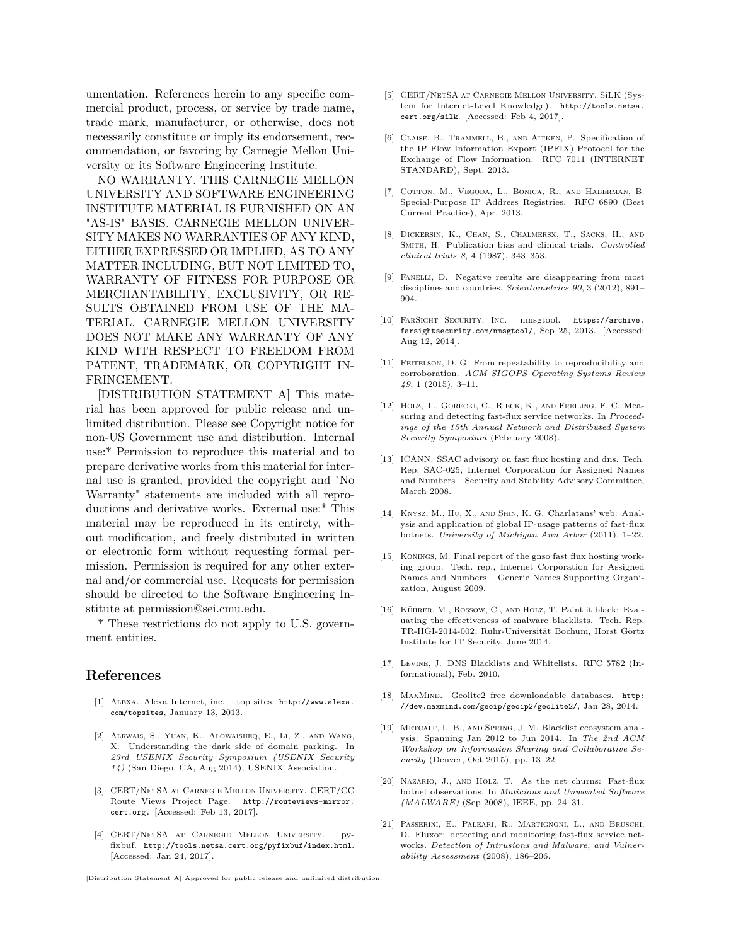umentation. References herein to any specific commercial product, process, or service by trade name, trade mark, manufacturer, or otherwise, does not necessarily constitute or imply its endorsement, recommendation, or favoring by Carnegie Mellon University or its Software Engineering Institute.

NO WARRANTY. THIS CARNEGIE MELLON UNIVERSITY AND SOFTWARE ENGINEERING INSTITUTE MATERIAL IS FURNISHED ON AN "AS-IS" BASIS. CARNEGIE MELLON UNIVER-SITY MAKES NO WARRANTIES OF ANY KIND, EITHER EXPRESSED OR IMPLIED, AS TO ANY MATTER INCLUDING, BUT NOT LIMITED TO, WARRANTY OF FITNESS FOR PURPOSE OR MERCHANTABILITY, EXCLUSIVITY, OR RE-SULTS OBTAINED FROM USE OF THE MA-TERIAL. CARNEGIE MELLON UNIVERSITY DOES NOT MAKE ANY WARRANTY OF ANY KIND WITH RESPECT TO FREEDOM FROM PATENT, TRADEMARK, OR COPYRIGHT IN-FRINGEMENT.

[DISTRIBUTION STATEMENT A] This material has been approved for public release and unlimited distribution. Please see Copyright notice for non-US Government use and distribution. Internal use:\* Permission to reproduce this material and to prepare derivative works from this material for internal use is granted, provided the copyright and "No Warranty" statements are included with all reproductions and derivative works. External use:\* This material may be reproduced in its entirety, without modification, and freely distributed in written or electronic form without requesting formal permission. Permission is required for any other external and/or commercial use. Requests for permission should be directed to the Software Engineering Institute at permission@sei.cmu.edu.

\* These restrictions do not apply to U.S. government entities.

#### **References**

- <span id="page-10-19"></span>[1] Alexa. Alexa Internet, inc. – top sites. [http://www.alexa.](http://www.alexa.com/topsites) [com/topsites](http://www.alexa.com/topsites), January 13, 2013.
- <span id="page-10-4"></span>[2] Alrwais, S., Yuan, K., Alowaisheq, E., Li, Z., and Wang, X. Understanding the dark side of domain parking. In *23rd USENIX Security Symposium (USENIX Security 14)* (San Diego, CA, Aug 2014), USENIX Association.
- <span id="page-10-10"></span>[3] CERT/NetSA at Carnegie Mellon University. CERT/CC Route Views Project Page. [http://routeviews-mirror.](http://routeviews-mirror.cert.org.) [cert.org.](http://routeviews-mirror.cert.org.) [Accessed: Feb 13, 2017].
- <span id="page-10-15"></span>[4] CERT/NetSA at Carnegie Mellon University. pyfixbuf. <http://tools.netsa.cert.org/pyfixbuf/index.html>. [Accessed: Jan 24, 2017].
- <span id="page-10-11"></span>[5] CERT/NetSA at Carnegie Mellon University. SiLK (System for Internet-Level Knowledge). [http://tools.netsa.](http://tools.netsa.cert.org/silk) [cert.org/silk](http://tools.netsa.cert.org/silk). [Accessed: Feb 4, 2017].
- <span id="page-10-14"></span>[6] Claise, B., Trammell, B., and Aitken, P. Specification of the IP Flow Information Export (IPFIX) Protocol for the Exchange of Flow Information. RFC 7011 (INTERNET STANDARD), Sept. 2013.
- <span id="page-10-17"></span>[7] Cotton, M., Vegoda, L., Bonica, R., and Haberman, B. Special-Purpose IP Address Registries. RFC 6890 (Best Current Practice), Apr. 2013.
- <span id="page-10-7"></span>[8] Dickersin, K., Chan, S., Chalmersx, T., Sacks, H., and SMITH, H. Publication bias and clinical trials. *Controlled clinical trials 8*, 4 (1987), 343–353.
- <span id="page-10-8"></span>[9] FANELLI, D. Negative results are disappearing from most disciplines and countries. *Scientometrics 90*, 3 (2012), 891– 904.
- <span id="page-10-9"></span>[10] FarSight Security, Inc. nmsgtool. [https://archive.](https://archive.farsightsecurity.com/nmsgtool/) [farsightsecurity.com/nmsgtool/](https://archive.farsightsecurity.com/nmsgtool/), Sep 25, 2013. [Accessed: Aug 12, 2014].
- <span id="page-10-13"></span>[11] FEITELSON, D. G. From repeatability to reproducibility and corroboration. *ACM SIGOPS Operating Systems Review 49*, 1 (2015), 3–11.
- <span id="page-10-6"></span>[12] HOLZ, T., GORECKI, C., RIECK, K., AND FREILING, F. C. Measuring and detecting fast-flux service networks. In *Proceedings of the 15th Annual Network and Distributed System Security Symposium* (February 2008).
- <span id="page-10-0"></span>[13] ICANN. SSAC advisory on fast flux hosting and dns. Tech. Rep. SAC-025, Internet Corporation for Assigned Names and Numbers – Security and Stability Advisory Committee, March 2008.
- <span id="page-10-3"></span>[14] Knysz, M., Hu, X., and Shin, K. G. Charlatans' web: Analysis and application of global IP-usage patterns of fast-flux botnets. *University of Michigan Ann Arbor* (2011), 1–22.
- <span id="page-10-5"></span>[15] KONINGS, M. Final report of the gnso fast flux hosting working group. Tech. rep., Internet Corporation for Assigned Names and Numbers – Generic Names Supporting Organization, August 2009.
- <span id="page-10-20"></span>[16] KÜHRER, M., ROSSOW, C., AND HOLZ, T. Paint it black: Evaluating the effectiveness of malware blacklists. Tech. Rep. TR-HGI-2014-002, Ruhr-Universität Bochum, Horst Görtz Institute for IT Security, June 2014.
- <span id="page-10-18"></span>[17] Levine, J. DNS Blacklists and Whitelists. RFC 5782 (Informational), Feb. 2010.
- <span id="page-10-12"></span>[18] MAXMIND. Geolite2 free downloadable databases. [http:](http://dev.maxmind.com/geoip/geoip2/geolite2/) [//dev.maxmind.com/geoip/geoip2/geolite2/](http://dev.maxmind.com/geoip/geoip2/geolite2/), Jan 28, 2014.
- <span id="page-10-16"></span>[19] METCALF, L. B., AND SPRING, J. M. Blacklist ecosystem analysis: Spanning Jan 2012 to Jun 2014. In *The 2nd ACM Workshop on Information Sharing and Col laborative Security* (Denver, Oct 2015), pp. 13–22.
- <span id="page-10-1"></span>[20] Nazario, J., and Holz, T. As the net churns: Fast-flux botnet observations. In *Malicious and Unwanted Software (MALWARE)* (Sep 2008), IEEE, pp. 24–31.
- <span id="page-10-2"></span>[21] Passerini, E., Paleari, R., Martignoni, L., and Bruschi, D. Fluxor: detecting and monitoring fast-flux service networks. *Detection of Intrusions and Malware, and Vulnerability Assessment* (2008), 186–206.

[Distribution Statement A] Approved for public release and unlimited distribution.